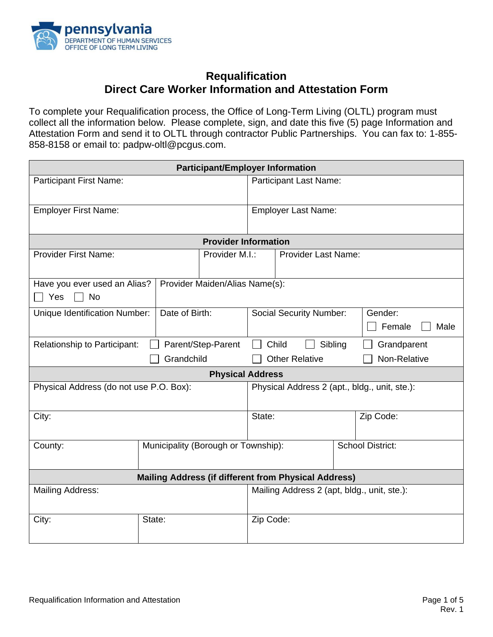

# **Requalification Direct Care Worker Information and Attestation Form**

To complete your Requalification process, the Office of Long-Term Living (OLTL) program must collect all the information below. Please complete, sign, and date this five (5) page Information and Attestation Form and send it to OLTL through contractor Public Partnerships. You can fax to: 1-855- 858-8158 or email to: padpw-oltl@pcgus.com.

| <b>Participant/Employer Information</b>                                            |                                     |                                               |                               |                                |           |                           |
|------------------------------------------------------------------------------------|-------------------------------------|-----------------------------------------------|-------------------------------|--------------------------------|-----------|---------------------------|
| <b>Participant First Name:</b>                                                     |                                     |                                               | <b>Participant Last Name:</b> |                                |           |                           |
| <b>Employer First Name:</b>                                                        |                                     |                                               | <b>Employer Last Name:</b>    |                                |           |                           |
|                                                                                    |                                     | <b>Provider Information</b>                   |                               |                                |           |                           |
| <b>Provider First Name:</b>                                                        |                                     | Provider M.I.:                                |                               | <b>Provider Last Name:</b>     |           |                           |
| Have you ever used an Alias?<br>Provider Maiden/Alias Name(s):<br>Yes<br><b>No</b> |                                     |                                               |                               |                                |           |                           |
| Unique Identification Number:                                                      | Date of Birth:                      |                                               |                               | <b>Social Security Number:</b> |           | Gender:<br>Female<br>Male |
| <b>Relationship to Participant:</b><br>Parent/Step-Parent                          |                                     |                                               |                               | Child                          | Sibling   | Grandparent               |
| Grandchild                                                                         |                                     | Non-Relative<br><b>Other Relative</b>         |                               |                                |           |                           |
| <b>Physical Address</b>                                                            |                                     |                                               |                               |                                |           |                           |
| Physical Address (do not use P.O. Box):                                            |                                     | Physical Address 2 (apt., bldg., unit, ste.): |                               |                                |           |                           |
| City:                                                                              |                                     | State:                                        |                               |                                | Zip Code: |                           |
| County:                                                                            | Municipality (Borough or Township): |                                               |                               |                                |           | <b>School District:</b>   |
| <b>Mailing Address (if different from Physical Address)</b>                        |                                     |                                               |                               |                                |           |                           |
| <b>Mailing Address:</b>                                                            |                                     | Mailing Address 2 (apt, bldg., unit, ste.):   |                               |                                |           |                           |
| City:                                                                              | State:                              |                                               | Zip Code:                     |                                |           |                           |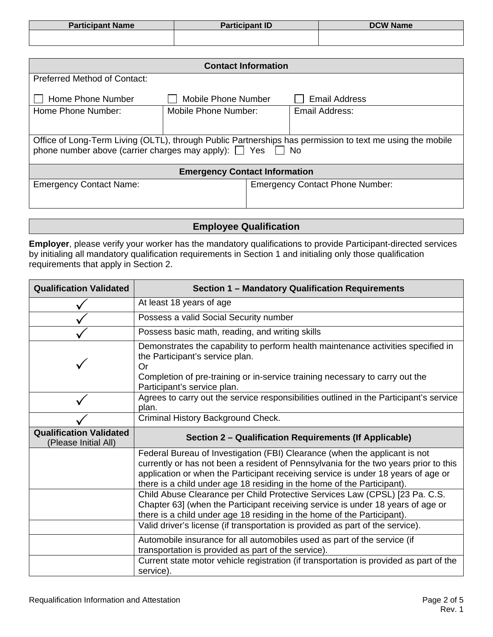| <b>Participant Name</b> | Participant ID | <b>DCW Name</b> |
|-------------------------|----------------|-----------------|
|                         |                |                 |

| <b>Contact Information</b>                                                                                                                                                            |                      |                                        |  |
|---------------------------------------------------------------------------------------------------------------------------------------------------------------------------------------|----------------------|----------------------------------------|--|
| <b>Preferred Method of Contact:</b>                                                                                                                                                   |                      |                                        |  |
| Home Phone Number                                                                                                                                                                     | Mobile Phone Number  | Email Address                          |  |
| Home Phone Number:                                                                                                                                                                    | Mobile Phone Number: | Email Address:                         |  |
|                                                                                                                                                                                       |                      |                                        |  |
| Office of Long-Term Living (OLTL), through Public Partnerships has permission to text me using the mobile<br>phone number above (carrier charges may apply): $\Box$ Yes $\Box$<br>No. |                      |                                        |  |
| <b>Emergency Contact Information</b>                                                                                                                                                  |                      |                                        |  |
| <b>Emergency Contact Name:</b>                                                                                                                                                        |                      | <b>Emergency Contact Phone Number:</b> |  |

**Employee Qualification**

**Employer**, please verify your worker has the mandatory qualifications to provide Participant-directed services by initialing all mandatory qualification requirements in Section 1 and initialing only those qualification requirements that apply in Section 2.

| <b>Qualification Validated</b>                         | Section 1 - Mandatory Qualification Requirements                                                                                                                                                                                                                                                                                   |
|--------------------------------------------------------|------------------------------------------------------------------------------------------------------------------------------------------------------------------------------------------------------------------------------------------------------------------------------------------------------------------------------------|
|                                                        | At least 18 years of age                                                                                                                                                                                                                                                                                                           |
|                                                        | Possess a valid Social Security number                                                                                                                                                                                                                                                                                             |
|                                                        | Possess basic math, reading, and writing skills                                                                                                                                                                                                                                                                                    |
|                                                        | Demonstrates the capability to perform health maintenance activities specified in<br>the Participant's service plan.<br>Or<br>Completion of pre-training or in-service training necessary to carry out the                                                                                                                         |
|                                                        | Participant's service plan.                                                                                                                                                                                                                                                                                                        |
|                                                        | Agrees to carry out the service responsibilities outlined in the Participant's service<br>plan.                                                                                                                                                                                                                                    |
|                                                        | Criminal History Background Check.                                                                                                                                                                                                                                                                                                 |
| <b>Qualification Validated</b><br>(Please Initial All) | Section 2 - Qualification Requirements (If Applicable)                                                                                                                                                                                                                                                                             |
|                                                        | Federal Bureau of Investigation (FBI) Clearance (when the applicant is not<br>currently or has not been a resident of Pennsylvania for the two years prior to this<br>application or when the Participant receiving service is under 18 years of age or<br>there is a child under age 18 residing in the home of the Participant). |
|                                                        | Child Abuse Clearance per Child Protective Services Law (CPSL) [23 Pa. C.S.<br>Chapter 63] (when the Participant receiving service is under 18 years of age or<br>there is a child under age 18 residing in the home of the Participant).                                                                                          |
|                                                        | Valid driver's license (if transportation is provided as part of the service).                                                                                                                                                                                                                                                     |
|                                                        | Automobile insurance for all automobiles used as part of the service (if<br>transportation is provided as part of the service).                                                                                                                                                                                                    |
|                                                        | Current state motor vehicle registration (if transportation is provided as part of the<br>service).                                                                                                                                                                                                                                |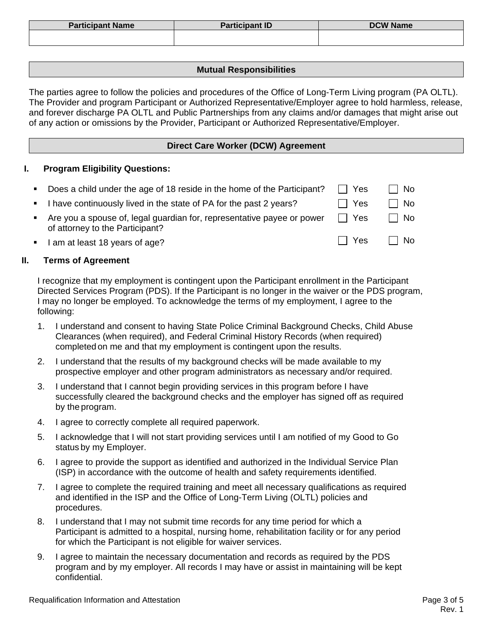| <b>Participant Name</b> | <b>Participant ID</b> | <b>DCW Name</b> |
|-------------------------|-----------------------|-----------------|
|                         |                       |                 |

### **Mutual Responsibilities**

The parties agree to follow the policies and procedures of the Office of Long-Term Living program (PA OLTL). The Provider and program Participant or Authorized Representative/Employer agree to hold harmless, release, and forever discharge PA OLTL and Public Partnerships from any claims and/or damages that might arise out of any action or omissions by the Provider, Participant or Authorized Representative/Employer.

## **Direct Care Worker (DCW) Agreement**

### **I. Program Eligibility Questions:**

- Does a child under the age of 18 reside in the home of the Participant?  $\Box$  Yes  $\Box$  No
- I have continuously lived in the state of PA for the past 2 years?  $\Box$  Yes  $\Box$  No
- Are you a spouse of, legal guardian for, representative payee or power of attorney to the Participant?
- I am at least 18 years of age?  $\Box$  Yes  $\Box$  No

#### **II. Terms of Agreement**

I recognize that my employment is contingent upon the Participant enrollment in the Participant Directed Services Program (PDS). If the Participant is no longer in the waiver or the PDS program, I may no longer be employed. To acknowledge the terms of my employment, I agree to the following:

- 1. I understand and consent to having State Police Criminal Background Checks, Child Abuse Clearances (when required), and Federal Criminal History Records (when required) completed on me and that my employment is contingent upon the results.
- 2. I understand that the results of my background checks will be made available to my prospective employer and other program administrators as necessary and/or required.
- 3. I understand that I cannot begin providing services in this program before I have successfully cleared the background checks and the employer has signed off as required by the program.
- 4. I agree to correctly complete all required paperwork.
- 5. I acknowledge that I will not start providing services until I am notified of my Good to Go status by my Employer.
- 6. I agree to provide the support as identified and authorized in the Individual Service Plan (ISP) in accordance with the outcome of health and safety requirements identified.
- 7. I agree to complete the required training and meet all necessary qualifications as required and identified in the ISP and the Office of Long-Term Living (OLTL) policies and procedures.
- 8. I understand that I may not submit time records for any time period for which a Participant is admitted to a hospital, nursing home, rehabilitation facility or for any period for which the Participant is not eligible for waiver services.
- 9. I agree to maintain the necessary documentation and records as required by the PDS program and by my employer. All records I may have or assist in maintaining will be kept confidential.

 $Yes \square No$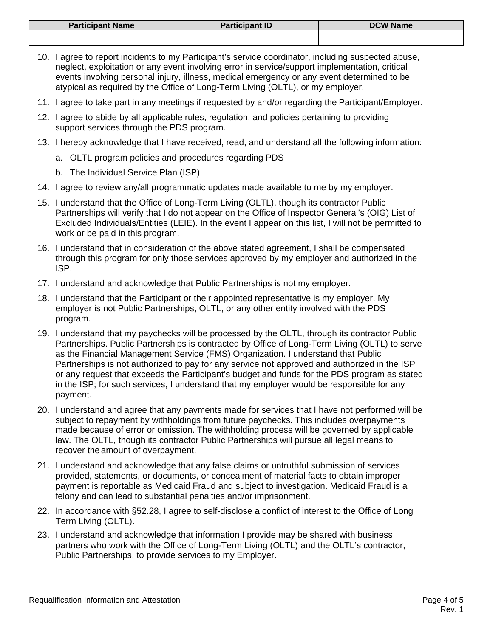| <b>Participant Name</b> | <b>Participant ID</b> | <b>DCW Name</b> |
|-------------------------|-----------------------|-----------------|
|                         |                       |                 |

- 10. I agree to report incidents to my Participant's service coordinator, including suspected abuse, neglect, exploitation or any event involving error in service/support implementation, critical events involving personal injury, illness, medical emergency or any event determined to be atypical as required by the Office of Long-Term Living (OLTL), or my employer.
- 11. I agree to take part in any meetings if requested by and/or regarding the Participant/Employer.
- 12. I agree to abide by all applicable rules, regulation, and policies pertaining to providing support services through the PDS program.
- 13. I hereby acknowledge that I have received, read, and understand all the following information:
	- a. OLTL program policies and procedures regarding PDS
	- b. The Individual Service Plan (ISP)
- 14. I agree to review any/all programmatic updates made available to me by my employer.
- 15. I understand that the Office of Long-Term Living (OLTL), though its contractor Public Partnerships will verify that I do not appear on the Office of Inspector General's (OIG) List of Excluded Individuals/Entities (LEIE). In the event I appear on this list, I will not be permitted to work or be paid in this program.
- 16. I understand that in consideration of the above stated agreement, I shall be compensated through this program for only those services approved by my employer and authorized in the ISP.
- 17. I understand and acknowledge that Public Partnerships is not my employer.
- 18. I understand that the Participant or their appointed representative is my employer. My employer is not Public Partnerships, OLTL, or any other entity involved with the PDS program.
- 19. I understand that my paychecks will be processed by the OLTL, through its contractor Public Partnerships. Public Partnerships is contracted by Office of Long-Term Living (OLTL) to serve as the Financial Management Service (FMS) Organization. I understand that Public Partnerships is not authorized to pay for any service not approved and authorized in the ISP or any request that exceeds the Participant's budget and funds for the PDS program as stated in the ISP; for such services, I understand that my employer would be responsible for any payment.
- 20. I understand and agree that any payments made for services that I have not performed will be subject to repayment by withholdings from future paychecks. This includes overpayments made because of error or omission. The withholding process will be governed by applicable law. The OLTL, though its contractor Public Partnerships will pursue all legal means to recover the amount of overpayment.
- 21. I understand and acknowledge that any false claims or untruthful submission of services provided, statements, or documents, or concealment of material facts to obtain improper payment is reportable as Medicaid Fraud and subject to investigation. Medicaid Fraud is a felony and can lead to substantial penalties and/or imprisonment.
- 22. In accordance with §52.28, I agree to self-disclose a conflict of interest to the Office of Long Term Living (OLTL).
- 23. I understand and acknowledge that information I provide may be shared with business partners who work with the Office of Long-Term Living (OLTL) and the OLTL's contractor, Public Partnerships, to provide services to my Employer.